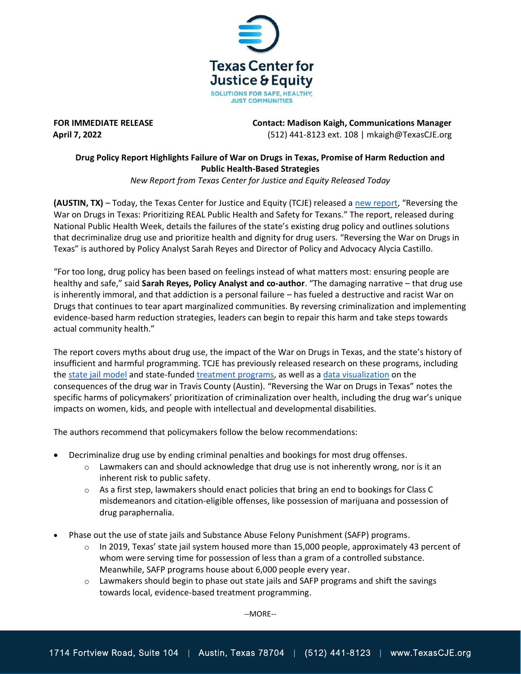

**FOR IMMEDIATE RELEASE Contact: Madison Kaigh, Communications Manager April 7, 2022** (512) 441-8123 ext. 108 | mkaigh@TexasCJE.org

## **Drug Policy Report Highlights Failure of War on Drugs in Texas, Promise of Harm Reduction and Public Health-Based Strategies**

*New Report from Texas Center for Justice and Equity Released Today*

**(AUSTIN, TX)** – Today, the Texas Center for Justice and Equity (TCJE) released a [new report,](https://www.texascje.org/system/files/publications/2022-04/reversing-war-drugs-texas-prioritizing-real-public-health-and-safety-texans.pdf) "Reversing the War on Drugs in Texas: Prioritizing REAL Public Health and Safety for Texans." The report, released during National Public Health Week, details the failures of the state's existing drug policy and outlines solutions that decriminalize drug use and prioritize health and dignity for drug users. "Reversing the War on Drugs in Texas" is authored by Policy Analyst Sarah Reyes and Director of Policy and Advocacy Alycia Castillo.

"For too long, drug policy has been based on feelings instead of what matters most: ensuring people are healthy and safe," said **Sarah Reyes, Policy Analyst and co-author**. "The damaging narrative – that drug use is inherently immoral, and that addiction is a personal failure – has fueled a destructive and racist War on Drugs that continues to tear apart marginalized communities. By reversing criminalization and implementing evidence-based harm reduction strategies, leaders can begin to repair this harm and take steps towards actual community health."

The report covers myths about drug use, the impact of the War on Drugs in Texas, and the state's history of insufficient and harmful programming. TCJE has previously released research on these programs, including th[e state jail](https://texascje.org/system/files/publications/A%20Failure%20in%20the%20Fourth%20Degree%20Report.pdf) model and state-funded [treatment programs,](https://texascje.org/system/files/publications/Layers%20of%20Trauma,%20Layers%20of%20Treatment%20-%20TCJC,%20April%202021.pdf) as well as a [data visualization](https://januaryadvisors.shinyapps.io/tcje-travis-pocs-datastory/) on the consequences of the drug war in Travis County (Austin). "Reversing the War on Drugs in Texas" notes the specific harms of policymakers' prioritization of criminalization over health, including the drug war's unique impacts on women, kids, and people with intellectual and developmental disabilities.

The authors recommend that policymakers follow the below recommendations:

- Decriminalize drug use by ending criminal penalties and bookings for most drug offenses.
	- $\circ$  Lawmakers can and should acknowledge that drug use is not inherently wrong, nor is it an inherent risk to public safety.
	- $\circ$  As a first step, lawmakers should enact policies that bring an end to bookings for Class C misdemeanors and citation-eligible offenses, like possession of marijuana and possession of drug paraphernalia.
- Phase out the use of state jails and Substance Abuse Felony Punishment (SAFP) programs.
	- $\circ$  In 2019, Texas' state jail system housed more than 15,000 people, approximately 43 percent of whom were serving time for possession of less than a gram of a controlled substance. Meanwhile, SAFP programs house about 6,000 people every year.
	- $\circ$  Lawmakers should begin to phase out state jails and SAFP programs and shift the savings towards local, evidence-based treatment programming.

--MORE--